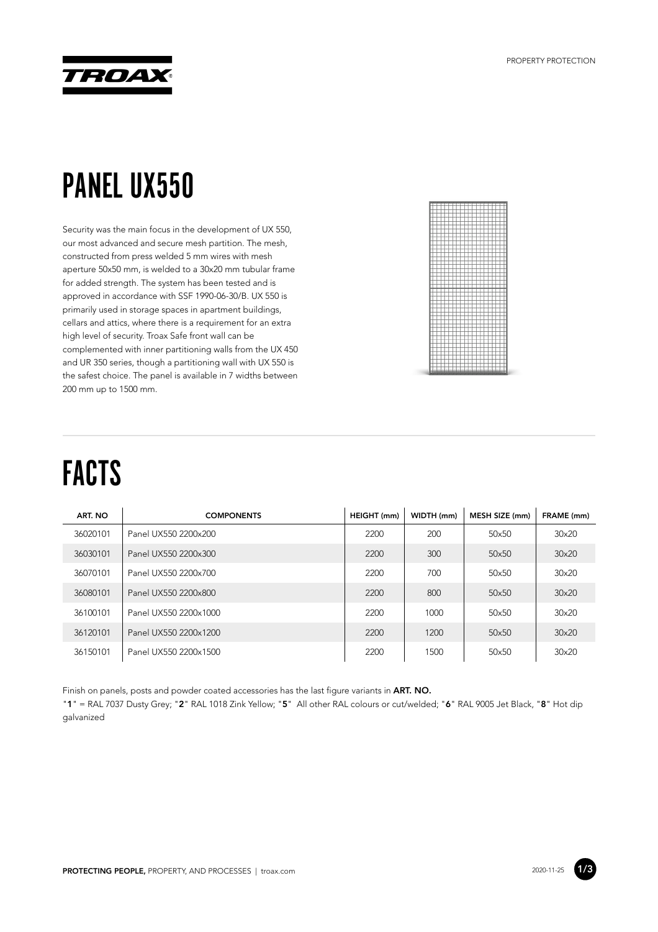

### PANEL UX550

Security was the main focus in the development of UX 550, our most advanced and secure mesh partition. The mesh, constructed from press welded 5 mm wires with mesh aperture 50x50 mm, is welded to a 30x20 mm tubular frame for added strength. The system has been tested and is approved in accordance with SSF 1990-06-30/B. UX 550 is primarily used in storage spaces in apartment buildings, cellars and attics, where there is a requirement for an extra high level of security. Troax Safe front wall can be complemented with inner partitioning walls from the UX 450 and UR 350 series, though a partitioning wall with UX 550 is the safest choice. The panel is available in 7 widths between 200 mm up to 1500 mm.



## FACTS

| ART. NO  | <b>COMPONENTS</b>     | HEIGHT (mm) | WIDTH (mm) | MESH SIZE (mm) | FRAME (mm)   |
|----------|-----------------------|-------------|------------|----------------|--------------|
| 36020101 | Panel UX550 2200x200  | 2200        | 200        | 50x50          | 30×20        |
| 36030101 | Panel UX550 2200x300  | 2200        | 300        | 50×50          | $30\times20$ |
| 36070101 | Panel UX550 2200x700  | 2200        | 700        | $50\times50$   | $30\times20$ |
| 36080101 | Panel UX550 2200x800  | 2200        | 800        | 50×50          | 30×20        |
| 36100101 | Panel UX550 2200x1000 | 2200        | 1000       | 50×50          | $30\times20$ |
| 36120101 | Panel UX550 2200x1200 | 2200        | 1200       | $50\times50$   | $30\times20$ |
| 36150101 | Panel UX550 2200x1500 | 2200        | 1500       | 50x50          | $30\times20$ |

Finish on panels, posts and powder coated accessories has the last figure variants in **ART. NO.**

"**1**" = RAL 7037 Dusty Grey; "**2**" RAL 1018 Zink Yellow; "**5**" All other RAL colours or cut/welded; "**6**" RAL 9005 Jet Black, "**8**" Hot dip galvanized

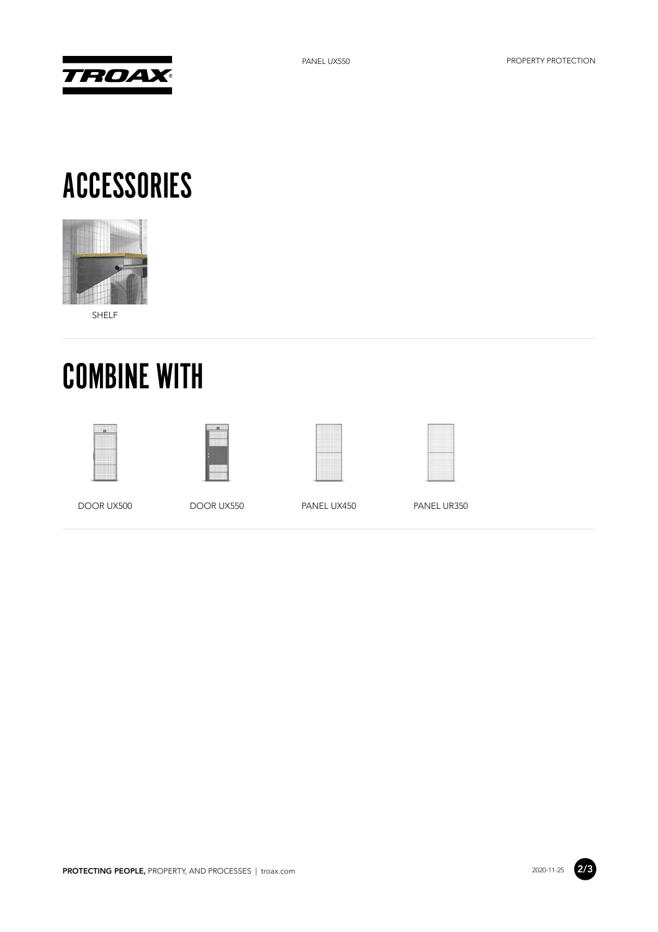



#### ACCESSORIES



SHELF

# COMBINE WITH









DOOR UX500 DOOR UX550 PANEL UX450 PANEL UR350